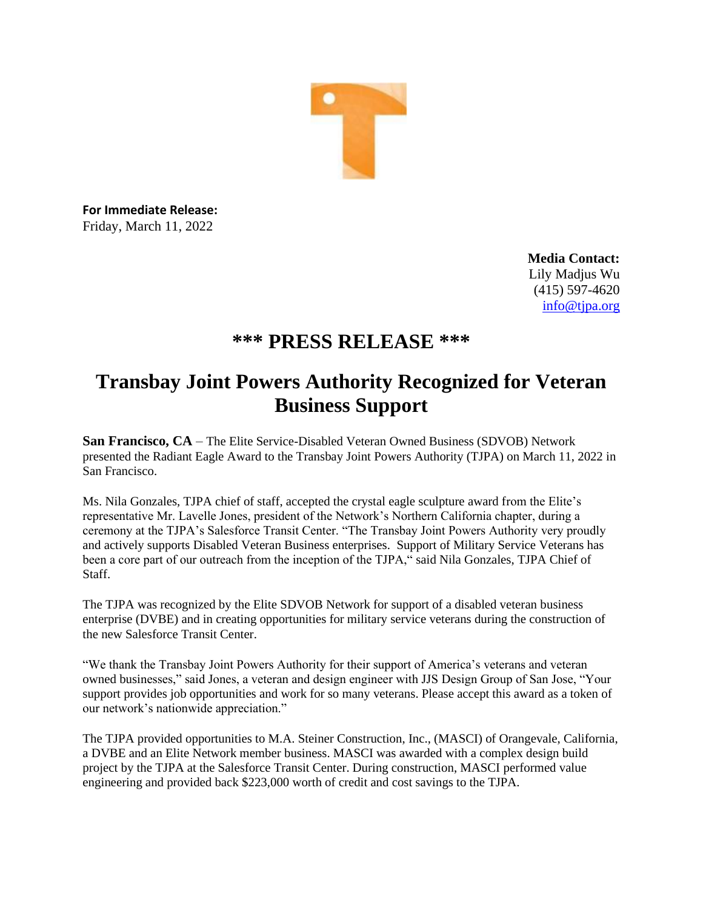

**For Immediate Release:** Friday, March 11, 2022

> **Media Contact:** Lily Madjus Wu (415) 597-4620 [info@tjpa.org](mailto:info@tjpa.org)

## **\*\*\* PRESS RELEASE \*\*\***

## **Transbay Joint Powers Authority Recognized for Veteran Business Support**

**San Francisco, CA** – The Elite Service-Disabled Veteran Owned Business (SDVOB) Network presented the Radiant Eagle Award to the Transbay Joint Powers Authority (TJPA) on March 11, 2022 in San Francisco.

Ms. Nila Gonzales, TJPA chief of staff, accepted the crystal eagle sculpture award from the Elite's representative Mr. Lavelle Jones, president of the Network's Northern California chapter, during a ceremony at the TJPA's Salesforce Transit Center. "The Transbay Joint Powers Authority very proudly and actively supports Disabled Veteran Business enterprises. Support of Military Service Veterans has been a core part of our outreach from the inception of the TJPA," said Nila Gonzales, TJPA Chief of Staff.

The TJPA was recognized by the Elite SDVOB Network for support of a disabled veteran business enterprise (DVBE) and in creating opportunities for military service veterans during the construction of the new Salesforce Transit Center.

"We thank the Transbay Joint Powers Authority for their support of America's veterans and veteran owned businesses," said Jones, a veteran and design engineer with JJS Design Group of San Jose, "Your support provides job opportunities and work for so many veterans. Please accept this award as a token of our network's nationwide appreciation."

The TJPA provided opportunities to M.A. Steiner Construction, Inc., (MASCI) of Orangevale, California, a DVBE and an Elite Network member business. MASCI was awarded with a complex design build project by the TJPA at the Salesforce Transit Center. During construction, MASCI performed value engineering and provided back \$223,000 worth of credit and cost savings to the TJPA.